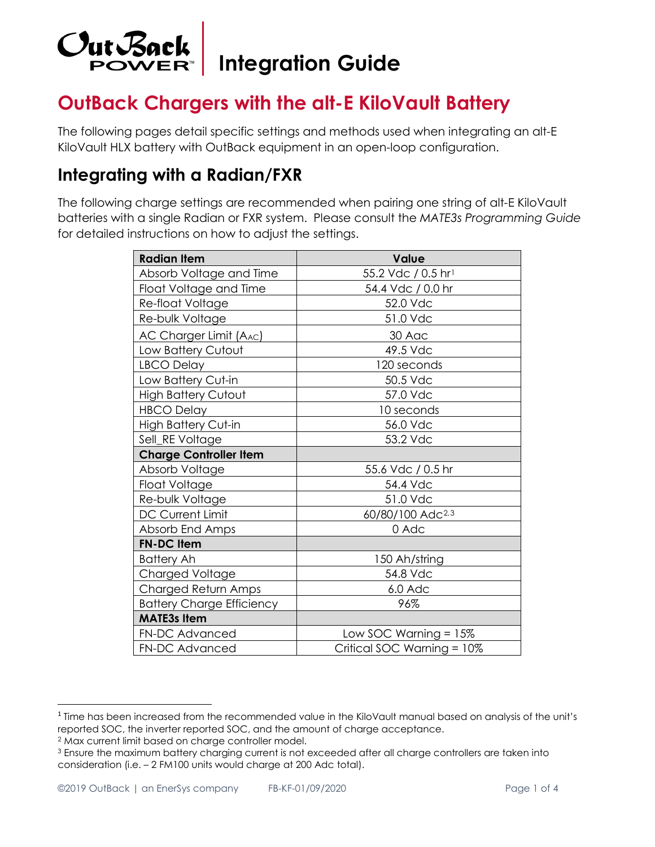

**Integration Guide** 

# **OutBack Chargers with the alt-E KiloVault Battery**

The following pages detail specific settings and methods used when integrating an alt-E KiloVault HLX battery with OutBack equipment in an open-loop configuration.

### **Integrating with a Radian/FXR**

The following charge settings are recommended when pairing one string of alt-E KiloVault batteries with a single Radian or FXR system. Please consult the *MATE3s Programming Guide*  for detailed instructions on how to adjust the settings.

| <b>Radian Item</b>               | Value                        |
|----------------------------------|------------------------------|
| Absorb Voltage and Time          | 55.2 Vdc / 0.5 hr1           |
| Float Voltage and Time           | 54.4 Vdc / 0.0 hr            |
| Re-float Voltage                 | 52.0 Vdc                     |
| Re-bulk Voltage                  | 51.0 Vdc                     |
| AC Charger Limit (AAC)           | 30 Aac                       |
| Low Battery Cutout               | 49.5 Vdc                     |
| LBCO Delay                       | 120 seconds                  |
| Low Battery Cut-in               | 50.5 Vdc                     |
| <b>High Battery Cutout</b>       | 57.0 Vdc                     |
| HBCO Delay                       | 10 seconds                   |
| <b>High Battery Cut-in</b>       | 56.0 Vdc                     |
| Sell_RE Voltage                  | 53.2 Vdc                     |
| <b>Charge Controller Item</b>    |                              |
| Absorb Voltage                   | 55.6 Vdc / 0.5 hr            |
| Float Voltage                    | 54.4 Vdc                     |
| Re-bulk Voltage                  | 51.0 Vdc                     |
| DC Current Limit                 | 60/80/100 Adc <sup>2,3</sup> |
| Absorb End Amps                  | 0 Adc                        |
| <b>FN-DC Item</b>                |                              |
| <b>Battery Ah</b>                | 150 Ah/string                |
| Charged Voltage                  | 54.8 Vdc                     |
| Charged Return Amps              | 6.0 Adc                      |
| <b>Battery Charge Efficiency</b> | 96%                          |
| <b>MATE3s Item</b>               |                              |
| <b>FN-DC Advanced</b>            | Low SOC Warning $= 15\%$     |
| FN-DC Advanced                   | Critical SOC Warning = 10%   |

<span id="page-0-1"></span><sup>2</sup> Max current limit based on charge controller model.

<span id="page-0-0"></span><sup>1</sup> Time has been increased from the recommended value in the KiloVault manual based on analysis of the unit's reported SOC, the inverter reported SOC, and the amount of charge acceptance.

<span id="page-0-2"></span><sup>&</sup>lt;sup>3</sup> Ensure the maximum battery charging current is not exceeded after all charge controllers are taken into consideration (i.e. – 2 FM100 units would charge at 200 Adc total).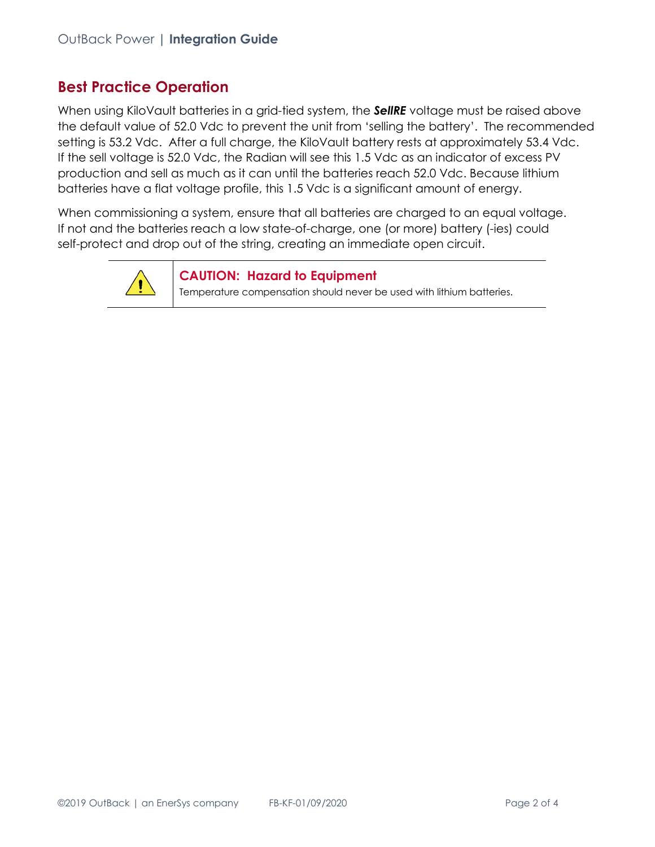#### **Best Practice Operation**

When using KiloVault batteries in a grid-tied system, the *SellRE* voltage must be raised above the default value of 52.0 Vdc to prevent the unit from 'selling the battery'. The recommended setting is 53.2 Vdc. After a full charge, the KiloVault battery rests at approximately 53.4 Vdc. If the sell voltage is 52.0 Vdc, the Radian will see this 1.5 Vdc as an indicator of excess PV production and sell as much as it can until the batteries reach 52.0 Vdc. Because lithium batteries have a flat voltage profile, this 1.5 Vdc is a significant amount of energy.

When commissioning a system, ensure that all batteries are charged to an equal voltage. If not and the batteries reach a low state-of-charge, one (or more) battery (-ies) could self-protect and drop out of the string, creating an immediate open circuit.



**CAUTION: Hazard to Equipment**

Temperature compensation should never be used with lithium batteries.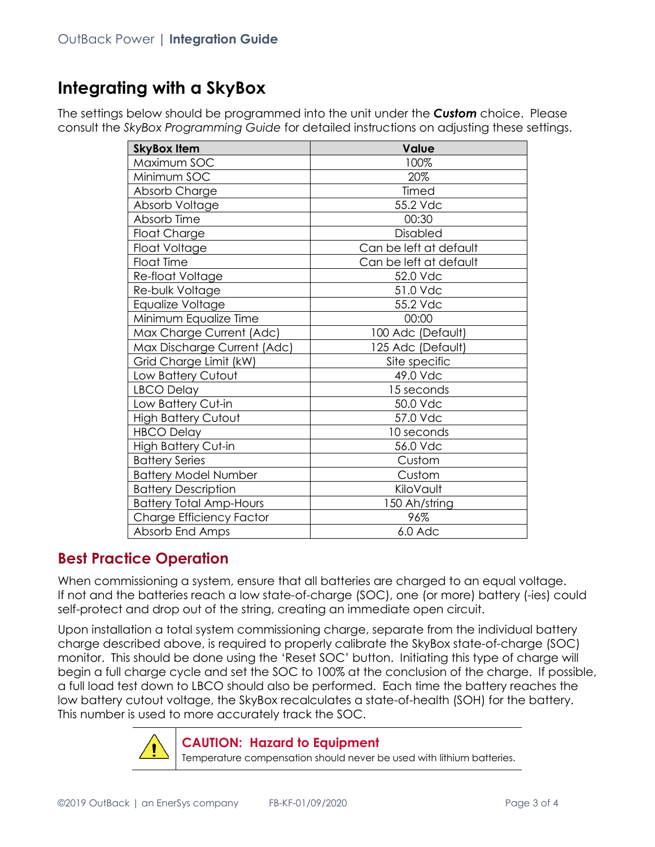### **Integrating with a SkyBox**

The settings below should be programmed into the unit under the *Custom* choice. Please consult the *SkyBox Programming Guide* for detailed instructions on adjusting these settings.

| <b>SkyBox Item</b>             | Value                  |
|--------------------------------|------------------------|
| Maximum SOC                    | 100%                   |
| Minimum SOC                    | 20%                    |
| Absorb Charge                  | Timed                  |
| Absorb Voltage                 | 55.2 Vdc               |
| Absorb Time                    | 00:30                  |
| <b>Float Charge</b>            | Disabled               |
| Float Voltage                  | Can be left at default |
| <b>Float Time</b>              | Can be left at default |
| Re-float Voltage               | 52.0 Vdc               |
| Re-bulk Voltage                | 51.0 Vdc               |
| Equalize Voltage               | 55.2 Vdc               |
| Minimum Equalize Time          | 00:00                  |
| Max Charge Current (Adc)       | 100 Adc (Default)      |
| Max Discharge Current (Adc)    | 125 Adc (Default)      |
| Grid Charge Limit (kW)         | Site specific          |
| Low Battery Cutout             | 49.0 Vdc               |
| LBCO Delay                     | 15 seconds             |
| Low Battery Cut-in             | 50.0 Vdc               |
| <b>High Battery Cutout</b>     | 57.0 Vdc               |
| <b>HBCO Delay</b>              | 10 seconds             |
| <b>High Battery Cut-in</b>     | 56.0 Vdc               |
| <b>Battery Series</b>          | Custom                 |
| <b>Battery Model Number</b>    | Custom                 |
| <b>Battery Description</b>     | KiloVault              |
| <b>Battery Total Amp-Hours</b> | 150 Ah/string          |
| Charge Efficiency Factor       | 96%                    |
| Absorb End Amps                | $6.0$ Adc              |

#### **Best Practice Operation**

When commissioning a system, ensure that all batteries are charged to an equal voltage. If not and the batteries reach a low state-of-charge (SOC), one (or more) battery (-ies) could self-protect and drop out of the string, creating an immediate open circuit.

Upon installation a total system commissioning charge, separate from the individual battery charge described above, is required to properly calibrate the SkyBox state-of-charge (SOC) monitor. This should be done using the 'Reset SOC' button. Initiating this type of charge will begin a full charge cycle and set the SOC to 100% at the conclusion of the charge. If possible, a full load test down to LBCO should also be performed. Each time the battery reaches the low battery cutout voltage, the SkyBox recalculates a state-of-health (SOH) for the battery. This number is used to more accurately track the SOC.



#### **CAUTION: Hazard to Equipment**

Temperature compensation should never be used with lithium batteries.